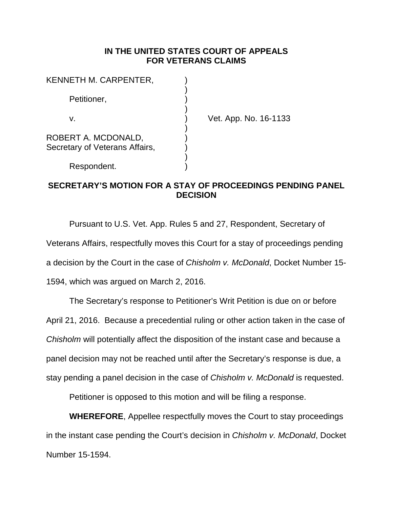## **IN THE UNITED STATES COURT OF APPEALS FOR VETERANS CLAIMS**

| KENNETH M. CARPENTER,                                 |  |
|-------------------------------------------------------|--|
| Petitioner,                                           |  |
| V.                                                    |  |
| ROBERT A. MCDONALD,<br>Secretary of Veterans Affairs, |  |
| Respondent.                                           |  |

Vet. App. No. 16-1133

## **SECRETARY'S MOTION FOR A STAY OF PROCEEDINGS PENDING PANEL DECISION**

Pursuant to U.S. Vet. App. Rules 5 and 27, Respondent, Secretary of Veterans Affairs, respectfully moves this Court for a stay of proceedings pending a decision by the Court in the case of *Chisholm v. McDonald*, Docket Number 15- 1594, which was argued on March 2, 2016.

The Secretary's response to Petitioner's Writ Petition is due on or before April 21, 2016. Because a precedential ruling or other action taken in the case of *Chisholm* will potentially affect the disposition of the instant case and because a panel decision may not be reached until after the Secretary's response is due, a stay pending a panel decision in the case of *Chisholm v. McDonald* is requested.

Petitioner is opposed to this motion and will be filing a response.

**WHEREFORE**, Appellee respectfully moves the Court to stay proceedings in the instant case pending the Court's decision in *Chisholm v. McDonald*, Docket Number 15-1594.